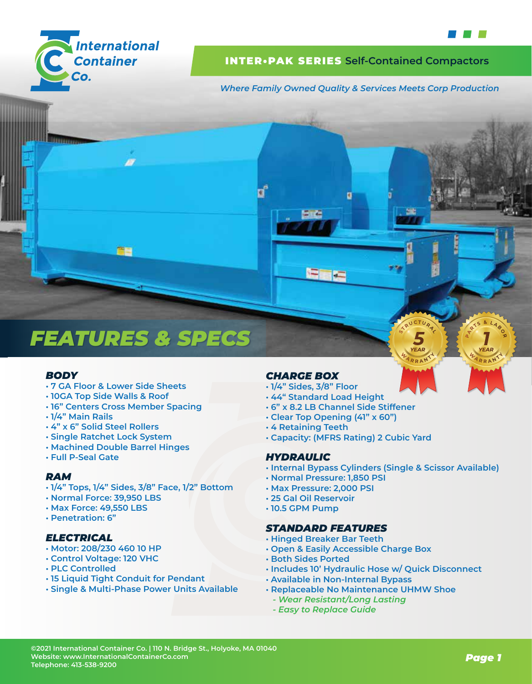

# INTER•PAK SERIES **Self-Contained Compactors**

6 G G

*Where Family Owned Quality & Services Meets Corp Production*



# *FEATURES & SPECS*

# *BODY*

- **7 GA Floor & Lower Side Sheets**
- **10GA Top Side Walls & Roof**
- **16" Centers Cross Member Spacing**
- **1/4" Main Rails**
- **4" x 6" Solid Steel Rollers**
- **Single Ratchet Lock System**
- **Machined Double Barrel Hinges**
- **Full P-Seal Gate**

# *RAM*

- **1/4" Tops, 1/4" Sides, 3/8" Face, 1/2" Bottom**
- **Normal Force: 39,950 LBS**
- **Max Force: 49,550 LBS**
- **Penetration: 6"**

# *ELECTRICAL*

- **Motor: 208/230 460 10 HP**
- **Control Voltage: 120 VHC**
- **PLC Controlled**
- **15 Liquid Tight Conduit for Pendant**
- **Single & Multi-Phase Power Units Available**

# *CHARGE BOX*

- **1/4" Sides, 3/8" Floor**
- **44" Standard Load Height**
- **6" x 8.2 LB Channel Side Stiffener**
- **Clear Top Opening (41" x 60")**
- **4 Retaining Teeth**
- **Capacity: (MFRS Rating) 2 Cubic Yard**

#### *HYDRAULIC*

**• Internal Bypass Cylinders (Single & Scissor Available)**

YEAR

- **Normal Pressure: 1,850 PSI**
- **Max Pressure: 2,000 PSI**
- **25 Gal Oil Reservoir**
- **10.5 GPM Pump**

#### *STANDARD FEATURES*

- **Hinged Breaker Bar Teeth**
- **Open & Easily Accessible Charge Box**
- **Both Sides Ported**
- **Includes 10' Hydraulic Hose w/ Quick Disconnect**
- **Available in Non-Internal Bypass**
- **Replaceable No Maintenance UHMW Shoe**
	- *Wear Resistant/Long Lasting*
	- *Easy to Replace Guide*

**YEAR**